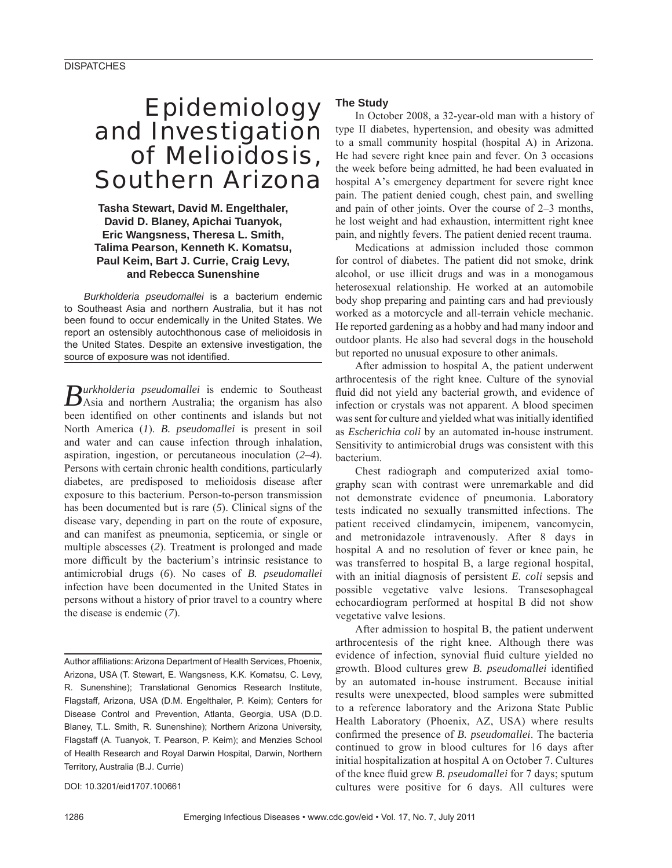# Epidemiology and Investigation of Melioidosis, Southern Arizona

# **Tasha Stewart, David M. Engelthaler, David D. Blaney, Apichai Tuanyok, Eric Wangsness, Theresa L. Smith, Talima Pearson, Kenneth K. Komatsu, Paul Keim, Bart J. Currie, Craig Levy, and Rebecca Sunenshine**

*Burkholderia pseudomallei* is a bacterium endemic to Southeast Asia and northern Australia, but it has not been found to occur endemically in the United States. We report an ostensibly autochthonous case of melioidosis in the United States. Despite an extensive investigation, the source of exposure was not identified.

*Burkholderia pseudomallei* is endemic to Southeast Asia and northern Australia; the organism has also been identified on other continents and islands but not North America (*1*). *B. pseudomallei* is present in soil and water and can cause infection through inhalation, aspiration, ingestion, or percutaneous inoculation (*2–4*). Persons with certain chronic health conditions, particularly diabetes, are predisposed to melioidosis disease after exposure to this bacterium. Person-to-person transmission has been documented but is rare (*5*). Clinical signs of the disease vary, depending in part on the route of exposure, and can manifest as pneumonia, septicemia, or single or multiple abscesses (*2*). Treatment is prolonged and made more difficult by the bacterium's intrinsic resistance to antimicrobial drugs (*6*). No cases of *B. pseudomallei* infection have been documented in the United States in persons without a history of prior travel to a country where the disease is endemic (*7*).

Author affiliations: Arizona Department of Health Services, Phoenix, Arizona, USA (T. Stewart, E. Wangsness, K.K. Komatsu, C. Levy, R. Sunenshine); Translational Genomics Research Institute, Flagstaff, Arizona, USA (D.M. Engelthaler, P. Keim); Centers for Disease Control and Prevention, Atlanta, Georgia, USA (D.D. Blaney, T.L. Smith, R. Sunenshine); Northern Arizona University, Flagstaff (A. Tuanyok, T. Pearson, P. Keim); and Menzies School of Health Research and Royal Darwin Hospital, Darwin, Northern Territory, Australia (B.J. Currie)

DOI: 10.3201/eid1707.100661

#### **The Study**

In October 2008, a 32-year-old man with a history of type II diabetes, hypertension, and obesity was admitted to a small community hospital (hospital A) in Arizona. He had severe right knee pain and fever. On 3 occasions the week before being admitted, he had been evaluated in hospital A's emergency department for severe right knee pain. The patient denied cough, chest pain, and swelling and pain of other joints. Over the course of 2–3 months, he lost weight and had exhaustion, intermittent right knee pain, and nightly fevers. The patient denied recent trauma.

Medications at admission included those common for control of diabetes. The patient did not smoke, drink alcohol, or use illicit drugs and was in a monogamous heterosexual relationship. He worked at an automobile body shop preparing and painting cars and had previously worked as a motorcycle and all-terrain vehicle mechanic. He reported gardening as a hobby and had many indoor and outdoor plants. He also had several dogs in the household but reported no unusual exposure to other animals.

After admission to hospital A, the patient underwent arthrocentesis of the right knee. Culture of the synovial fluid did not yield any bacterial growth, and evidence of infection or crystals was not apparent. A blood specimen was sent for culture and yielded what was initially identified as *Escherichia coli* by an automated in-house instrument. Sensitivity to antimicrobial drugs was consistent with this bacterium.

Chest radiograph and computerized axial tomography scan with contrast were unremarkable and did not demonstrate evidence of pneumonia. Laboratory tests indicated no sexually transmitted infections. The patient received clindamycin, imipenem, vancomycin, and metronidazole intravenously. After 8 days in hospital A and no resolution of fever or knee pain, he was transferred to hospital B, a large regional hospital, with an initial diagnosis of persistent *E. coli* sepsis and possible vegetative valve lesions. Transesophageal echocardiogram performed at hospital B did not show vegetative valve lesions.

After admission to hospital B, the patient underwent arthrocentesis of the right knee. Although there was evidence of infection, synovial fluid culture yielded no growth. Blood cultures grew *B. pseudomallei* identified by an automated in-house instrument. Because initial results were unexpected, blood samples were submitted to a reference laboratory and the Arizona State Public Health Laboratory (Phoenix, AZ, USA) where results confirmed the presence of *B. pseudomallei*. The bacteria continued to grow in blood cultures for 16 days after initial hospitalization at hospital A on October 7. Cultures of the knee fluid grew *B. pseudomallei* for 7 days; sputum cultures were positive for 6 days. All cultures were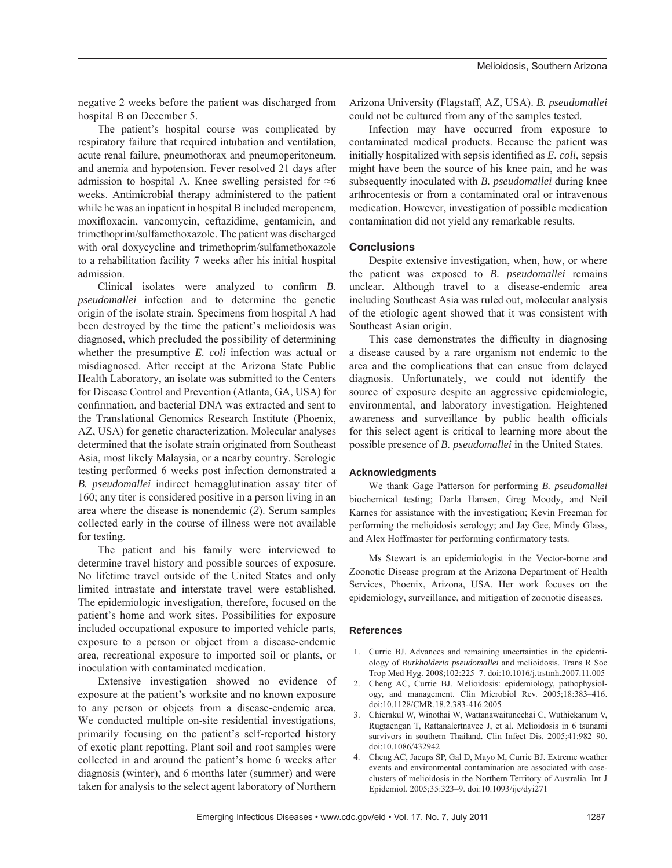negative 2 weeks before the patient was discharged from hospital B on December 5.

The patient's hospital course was complicated by respiratory failure that required intubation and ventilation, acute renal failure, pneumothorax and pneumoperitoneum, and anemia and hypotension. Fever resolved 21 days after admission to hospital A. Knee swelling persisted for  $\approx 6$ weeks. Antimicrobial therapy administered to the patient while he was an inpatient in hospital B included meropenem, moxifloxacin, vancomycin, ceftazidime, gentamicin, and trimethoprim/sulfamethoxazole. The patient was discharged with oral doxycycline and trimethoprim/sulfamethoxazole to a rehabilitation facility 7 weeks after his initial hospital admission.

Clinical isolates were analyzed to confirm *B*. *pseudomallei* infection and to determine the genetic origin of the isolate strain. Specimens from hospital A had been destroyed by the time the patient's melioidosis was diagnosed, which precluded the possibility of determining whether the presumptive *E. coli* infection was actual or misdiagnosed. After receipt at the Arizona State Public Health Laboratory, an isolate was submitted to the Centers for Disease Control and Prevention (Atlanta, GA, USA) for confirmation, and bacterial DNA was extracted and sent to the Translational Genomics Research Institute (Phoenix, AZ, USA) for genetic characterization. Molecular analyses determined that the isolate strain originated from Southeast Asia, most likely Malaysia, or a nearby country. Serologic testing performed 6 weeks post infection demonstrated a *B. pseudomallei* indirect hemagglutination assay titer of 160; any titer is considered positive in a person living in an area where the disease is nonendemic (*2*). Serum samples collected early in the course of illness were not available for testing.

The patient and his family were interviewed to determine travel history and possible sources of exposure. No lifetime travel outside of the United States and only limited intrastate and interstate travel were established. The epidemiologic investigation, therefore, focused on the patient's home and work sites. Possibilities for exposure included occupational exposure to imported vehicle parts, exposure to a person or object from a disease-endemic area, recreational exposure to imported soil or plants, or inoculation with contaminated medication.

Extensive investigation showed no evidence of exposure at the patient's worksite and no known exposure to any person or objects from a disease-endemic area. We conducted multiple on-site residential investigations, primarily focusing on the patient's self-reported history of exotic plant repotting. Plant soil and root samples were collected in and around the patient's home 6 weeks after diagnosis (winter), and 6 months later (summer) and were taken for analysis to the select agent laboratory of Northern

Arizona University (Flagstaff, AZ, USA). *B. pseudomallei* could not be cultured from any of the samples tested.

Infection may have occurred from exposure to contaminated medical products. Because the patient was initially hospitalized with sepsis identified as *E. coli*, sepsis might have been the source of his knee pain, and he was subsequently inoculated with *B. pseudomallei* during knee arthrocentesis or from a contaminated oral or intravenous medication. However, investigation of possible medication contamination did not yield any remarkable results.

## **Conclusions**

Despite extensive investigation, when, how, or where the patient was exposed to *B. pseudomallei* remains unclear. Although travel to a disease-endemic area including Southeast Asia was ruled out, molecular analysis of the etiologic agent showed that it was consistent with Southeast Asian origin.

This case demonstrates the difficulty in diagnosing a disease caused by a rare organism not endemic to the area and the complications that can ensue from delayed diagnosis. Unfortunately, we could not identify the source of exposure despite an aggressive epidemiologic, environmental, and laboratory investigation. Heightened awareness and surveillance by public health officials for this select agent is critical to learning more about the possible presence of *B. pseudomallei* in the United States.

#### **Acknowledgments**

We thank Gage Patterson for performing *B. pseudomallei* biochemical testing; Darla Hansen, Greg Moody, and Neil Karnes for assistance with the investigation; Kevin Freeman for performing the melioidosis serology; and Jay Gee, Mindy Glass, and Alex Hoffmaster for performing confirmatory tests.

Ms Stewart is an epidemiologist in the Vector-borne and Zoonotic Disease program at the Arizona Department of Health Services, Phoenix, Arizona, USA. Her work focuses on the epidemiology, surveillance, and mitigation of zoonotic diseases.

#### **References**

- 1. Currie BJ. Advances and remaining uncertainties in the epidemiology of *Burkholderia pseudomallei* and melioidosis. Trans R Soc Trop Med Hyg. 2008;102:225–7. doi:10.1016/j.trstmh.2007.11.005
- 2. Cheng AC, Currie BJ. Melioidosis: epidemiology, pathophysiology, and management. Clin Microbiol Rev. 2005;18:383–416. doi:10.1128/CMR.18.2.383-416.2005
- 3. Chierakul W, Winothai W, Wattanawaitunechai C, Wuthiekanum V, Rugtaengan T, Rattanalertnavee J, et al. Melioidosis in 6 tsunami survivors in southern Thailand. Clin Infect Dis. 2005;41:982–90. doi:10.1086/432942
- 4. Cheng AC, Jacups SP, Gal D, Mayo M, Currie BJ. Extreme weather events and environmental contamination are associated with caseclusters of melioidosis in the Northern Territory of Australia. Int J Epidemiol. 2005;35:323–9. doi:10.1093/ije/dyi271